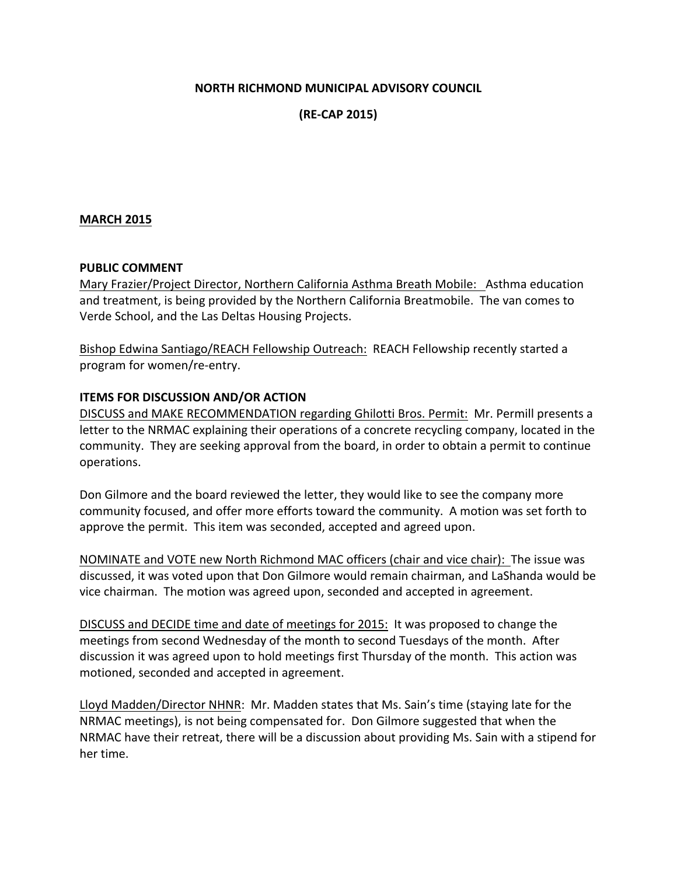## **NORTH RICHMOND MUNICIPAL ADVISORY COUNCIL**

**(RE-CAP 2015)**

### **MARCH 2015**

#### **PUBLIC COMMENT**

Mary Frazier/Project Director, Northern California Asthma Breath Mobile: Asthma education and treatment, is being provided by the Northern California Breatmobile. The van comes to Verde School, and the Las Deltas Housing Projects.

Bishop Edwina Santiago/REACH Fellowship Outreach: REACH Fellowship recently started a program for women/re-entry.

## **ITEMS FOR DISCUSSION AND/OR ACTION**

DISCUSS and MAKE RECOMMENDATION regarding Ghilotti Bros. Permit: Mr. Permill presents a letter to the NRMAC explaining their operations of a concrete recycling company, located in the community. They are seeking approval from the board, in order to obtain a permit to continue operations.

Don Gilmore and the board reviewed the letter, they would like to see the company more community focused, and offer more efforts toward the community. A motion was set forth to approve the permit. This item was seconded, accepted and agreed upon.

NOMINATE and VOTE new North Richmond MAC officers (chair and vice chair): The issue was discussed, it was voted upon that Don Gilmore would remain chairman, and LaShanda would be vice chairman. The motion was agreed upon, seconded and accepted in agreement.

DISCUSS and DECIDE time and date of meetings for 2015: It was proposed to change the meetings from second Wednesday of the month to second Tuesdays of the month. After discussion it was agreed upon to hold meetings first Thursday of the month. This action was motioned, seconded and accepted in agreement.

Lloyd Madden/Director NHNR: Mr. Madden states that Ms. Sain's time (staying late for the NRMAC meetings), is not being compensated for. Don Gilmore suggested that when the NRMAC have their retreat, there will be a discussion about providing Ms. Sain with a stipend for her time.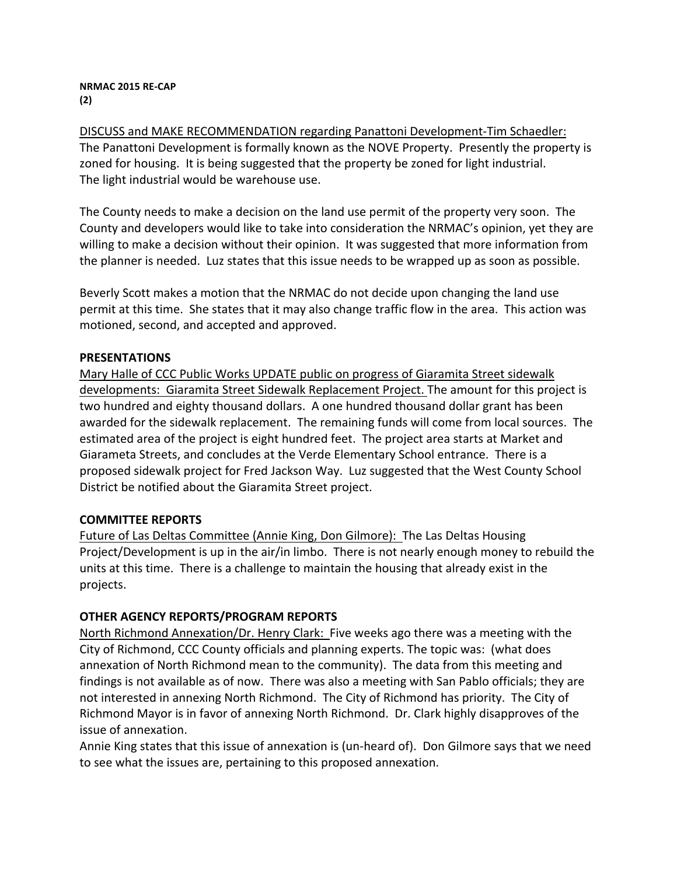#### **NRMAC 2015 RE-CAP (2)**

DISCUSS and MAKE RECOMMENDATION regarding Panattoni Development-Tim Schaedler: The Panattoni Development is formally known as the NOVE Property. Presently the property is zoned for housing. It is being suggested that the property be zoned for light industrial. The light industrial would be warehouse use.

The County needs to make a decision on the land use permit of the property very soon. The County and developers would like to take into consideration the NRMAC's opinion, yet they are willing to make a decision without their opinion. It was suggested that more information from the planner is needed. Luz states that this issue needs to be wrapped up as soon as possible.

Beverly Scott makes a motion that the NRMAC do not decide upon changing the land use permit at this time. She states that it may also change traffic flow in the area. This action was motioned, second, and accepted and approved.

## **PRESENTATIONS**

Mary Halle of CCC Public Works UPDATE public on progress of Giaramita Street sidewalk developments: Giaramita Street Sidewalk Replacement Project. The amount for this project is two hundred and eighty thousand dollars. A one hundred thousand dollar grant has been awarded for the sidewalk replacement. The remaining funds will come from local sources. The estimated area of the project is eight hundred feet. The project area starts at Market and Giarameta Streets, and concludes at the Verde Elementary School entrance. There is a proposed sidewalk project for Fred Jackson Way. Luz suggested that the West County School District be notified about the Giaramita Street project.

# **COMMITTEE REPORTS**

Future of Las Deltas Committee (Annie King, Don Gilmore): The Las Deltas Housing Project/Development is up in the air/in limbo. There is not nearly enough money to rebuild the units at this time. There is a challenge to maintain the housing that already exist in the projects.

# **OTHER AGENCY REPORTS/PROGRAM REPORTS**

North Richmond Annexation/Dr. Henry Clark: Five weeks ago there was a meeting with the City of Richmond, CCC County officials and planning experts. The topic was: (what does annexation of North Richmond mean to the community). The data from this meeting and findings is not available as of now. There was also a meeting with San Pablo officials; they are not interested in annexing North Richmond. The City of Richmond has priority. The City of Richmond Mayor is in favor of annexing North Richmond. Dr. Clark highly disapproves of the issue of annexation.

Annie King states that this issue of annexation is (un-heard of). Don Gilmore says that we need to see what the issues are, pertaining to this proposed annexation.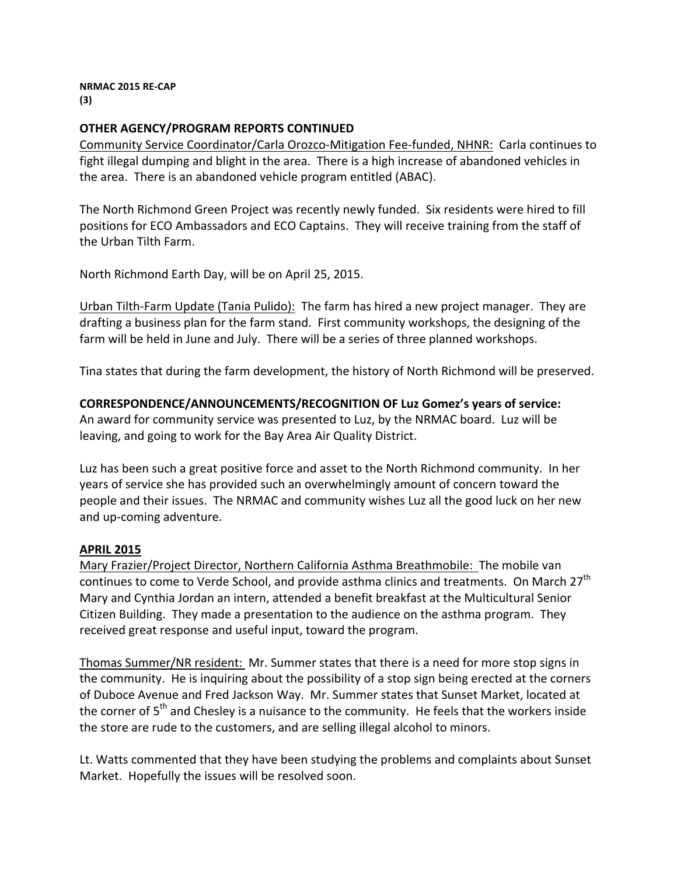#### **NRMAC 2015 RE-CAP (3)**

## **OTHER AGENCY/PROGRAM REPORTS CONTINUED**

Community Service Coordinator/Carla Orozco-Mitigation Fee-funded, NHNR: Carla continues to fight illegal dumping and blight in the area. There is a high increase of abandoned vehicles in the area. There is an abandoned vehicle program entitled (ABAC).

The North Richmond Green Project was recently newly funded. Six residents were hired to fill positions for ECO Ambassadors and ECO Captains. They will receive training from the staff of the Urban Tilth Farm.

North Richmond Earth Day, will be on April 25, 2015.

Urban Tilth-Farm Update (Tania Pulido): The farm has hired a new project manager. They are drafting a business plan for the farm stand. First community workshops, the designing of the farm will be held in June and July. There will be a series of three planned workshops.

Tina states that during the farm development, the history of North Richmond will be preserved.

**CORRESPONDENCE/ANNOUNCEMENTS/RECOGNITION OF Luz Gomez's years of service:**

An award for community service was presented to Luz, by the NRMAC board. Luz will be leaving, and going to work for the Bay Area Air Quality District.

Luz has been such a great positive force and asset to the North Richmond community. In her years of service she has provided such an overwhelmingly amount of concern toward the people and their issues. The NRMAC and community wishes Luz all the good luck on her new and up-coming adventure.

## **APRIL 2015**

Mary Frazier/Project Director, Northern California Asthma Breathmobile: The mobile van continues to come to Verde School, and provide asthma clinics and treatments. On March 27<sup>th</sup> Mary and Cynthia Jordan an intern, attended a benefit breakfast at the Multicultural Senior Citizen Building. They made a presentation to the audience on the asthma program. They received great response and useful input, toward the program.

Thomas Summer/NR resident: Mr. Summer states that there is a need for more stop signs in the community. He is inquiring about the possibility of a stop sign being erected at the corners of Duboce Avenue and Fred Jackson Way. Mr. Summer states that Sunset Market, located at the corner of  $5<sup>th</sup>$  and Chesley is a nuisance to the community. He feels that the workers inside the store are rude to the customers, and are selling illegal alcohol to minors.

Lt. Watts commented that they have been studying the problems and complaints about Sunset Market. Hopefully the issues will be resolved soon.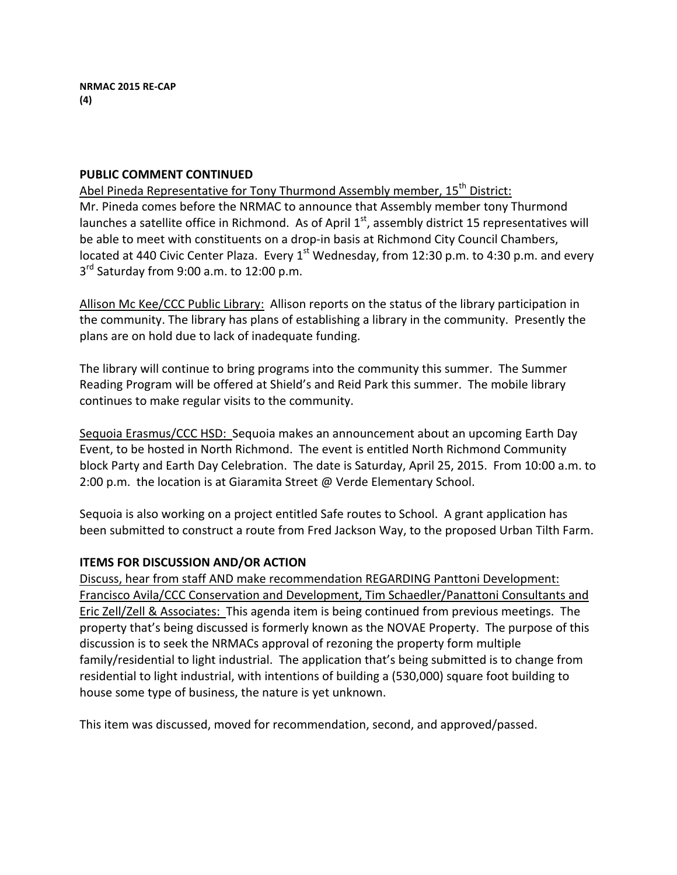## **PUBLIC COMMENT CONTINUED**

Abel Pineda Representative for Tony Thurmond Assembly member, 15<sup>th</sup> District: Mr. Pineda comes before the NRMAC to announce that Assembly member tony Thurmond launches a satellite office in Richmond. As of April  $1<sup>st</sup>$ , assembly district 15 representatives will be able to meet with constituents on a drop-in basis at Richmond City Council Chambers, located at 440 Civic Center Plaza. Every  $1^{st}$  Wednesday, from 12:30 p.m. to 4:30 p.m. and every  $3<sup>rd</sup>$  Saturday from 9:00 a.m. to 12:00 p.m.

Allison Mc Kee/CCC Public Library: Allison reports on the status of the library participation in the community. The library has plans of establishing a library in the community. Presently the plans are on hold due to lack of inadequate funding.

The library will continue to bring programs into the community this summer. The Summer Reading Program will be offered at Shield's and Reid Park this summer. The mobile library continues to make regular visits to the community.

Sequoia Erasmus/CCC HSD: Sequoia makes an announcement about an upcoming Earth Day Event, to be hosted in North Richmond. The event is entitled North Richmond Community block Party and Earth Day Celebration. The date is Saturday, April 25, 2015. From 10:00 a.m. to 2:00 p.m. the location is at Giaramita Street  $@$  Verde Elementary School.

Sequoia is also working on a project entitled Safe routes to School. A grant application has been submitted to construct a route from Fred Jackson Way, to the proposed Urban Tilth Farm.

# **ITEMS FOR DISCUSSION AND/OR ACTION**

Discuss, hear from staff AND make recommendation REGARDING Panttoni Development: Francisco Avila/CCC Conservation and Development, Tim Schaedler/Panattoni Consultants and Eric Zell/Zell & Associates: This agenda item is being continued from previous meetings. The property that's being discussed is formerly known as the NOVAE Property. The purpose of this discussion is to seek the NRMACs approval of rezoning the property form multiple family/residential to light industrial. The application that's being submitted is to change from residential to light industrial, with intentions of building a (530,000) square foot building to house some type of business, the nature is yet unknown.

This item was discussed, moved for recommendation, second, and approved/passed.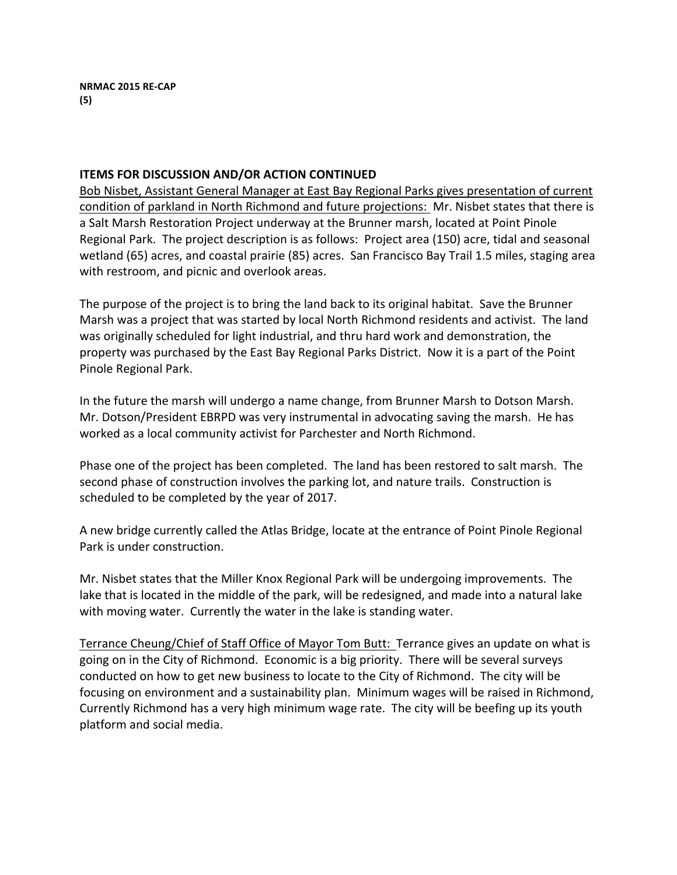## **ITEMS FOR DISCUSSION AND/OR ACTION CONTINUED**

Bob Nisbet, Assistant General Manager at East Bay Regional Parks gives presentation of current condition of parkland in North Richmond and future projections: Mr. Nisbet states that there is a Salt Marsh Restoration Project underway at the Brunner marsh, located at Point Pinole Regional Park. The project description is as follows: Project area (150) acre, tidal and seasonal wetland (65) acres, and coastal prairie (85) acres. San Francisco Bay Trail 1.5 miles, staging area with restroom, and picnic and overlook areas.

The purpose of the project is to bring the land back to its original habitat. Save the Brunner Marsh was a project that was started by local North Richmond residents and activist. The land was originally scheduled for light industrial, and thru hard work and demonstration, the property was purchased by the East Bay Regional Parks District. Now it is a part of the Point Pinole Regional Park.

In the future the marsh will undergo a name change, from Brunner Marsh to Dotson Marsh. Mr. Dotson/President EBRPD was very instrumental in advocating saving the marsh. He has worked as a local community activist for Parchester and North Richmond.

Phase one of the project has been completed. The land has been restored to salt marsh. The second phase of construction involves the parking lot, and nature trails. Construction is scheduled to be completed by the year of 2017.

A new bridge currently called the Atlas Bridge, locate at the entrance of Point Pinole Regional Park is under construction.

Mr. Nisbet states that the Miller Knox Regional Park will be undergoing improvements. The lake that is located in the middle of the park, will be redesigned, and made into a natural lake with moving water. Currently the water in the lake is standing water.

Terrance Cheung/Chief of Staff Office of Mayor Tom Butt: Terrance gives an update on what is going on in the City of Richmond. Economic is a big priority. There will be several surveys conducted on how to get new business to locate to the City of Richmond. The city will be focusing on environment and a sustainability plan. Minimum wages will be raised in Richmond, Currently Richmond has a very high minimum wage rate. The city will be beefing up its youth platform and social media.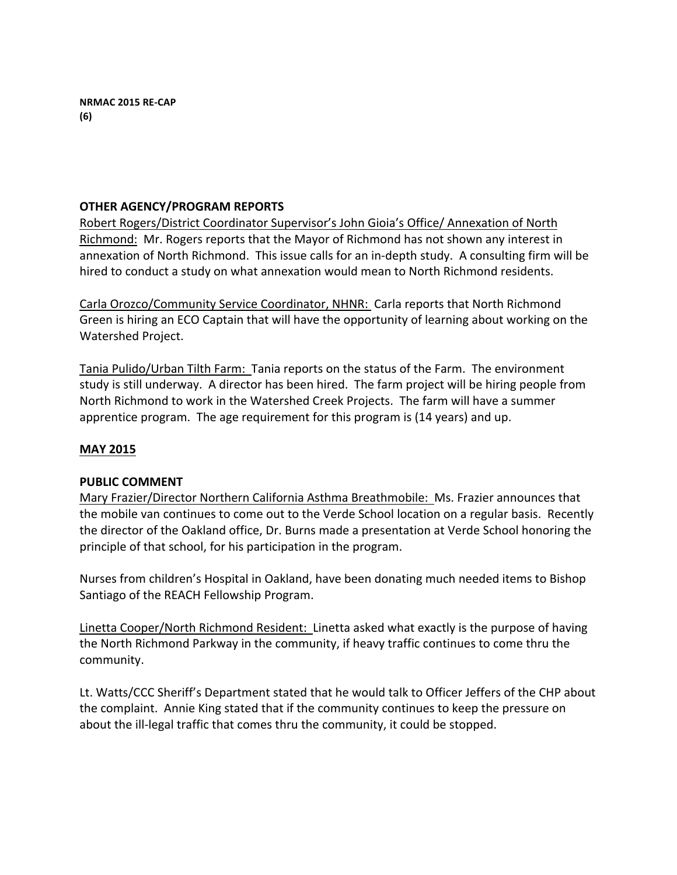## **OTHER AGENCY/PROGRAM REPORTS**

Robert Rogers/District Coordinator Supervisor's John Gioia's Office/ Annexation of North Richmond: Mr. Rogers reports that the Mayor of Richmond has not shown any interest in annexation of North Richmond. This issue calls for an in-depth study. A consulting firm will be hired to conduct a study on what annexation would mean to North Richmond residents.

Carla Orozco/Community Service Coordinator, NHNR: Carla reports that North Richmond Green is hiring an ECO Captain that will have the opportunity of learning about working on the Watershed Project.

Tania Pulido/Urban Tilth Farm: Tania reports on the status of the Farm. The environment study is still underway. A director has been hired. The farm project will be hiring people from North Richmond to work in the Watershed Creek Projects. The farm will have a summer apprentice program. The age requirement for this program is (14 years) and up.

## **MAY 2015**

## **PUBLIC COMMENT**

Mary Frazier/Director Northern California Asthma Breathmobile: Ms. Frazier announces that the mobile van continues to come out to the Verde School location on a regular basis. Recently the director of the Oakland office, Dr. Burns made a presentation at Verde School honoring the principle of that school, for his participation in the program.

Nurses from children's Hospital in Oakland, have been donating much needed items to Bishop Santiago of the REACH Fellowship Program.

Linetta Cooper/North Richmond Resident: Linetta asked what exactly is the purpose of having the North Richmond Parkway in the community, if heavy traffic continues to come thru the community.

Lt. Watts/CCC Sheriff's Department stated that he would talk to Officer Jeffers of the CHP about the complaint. Annie King stated that if the community continues to keep the pressure on about the ill-legal traffic that comes thru the community, it could be stopped.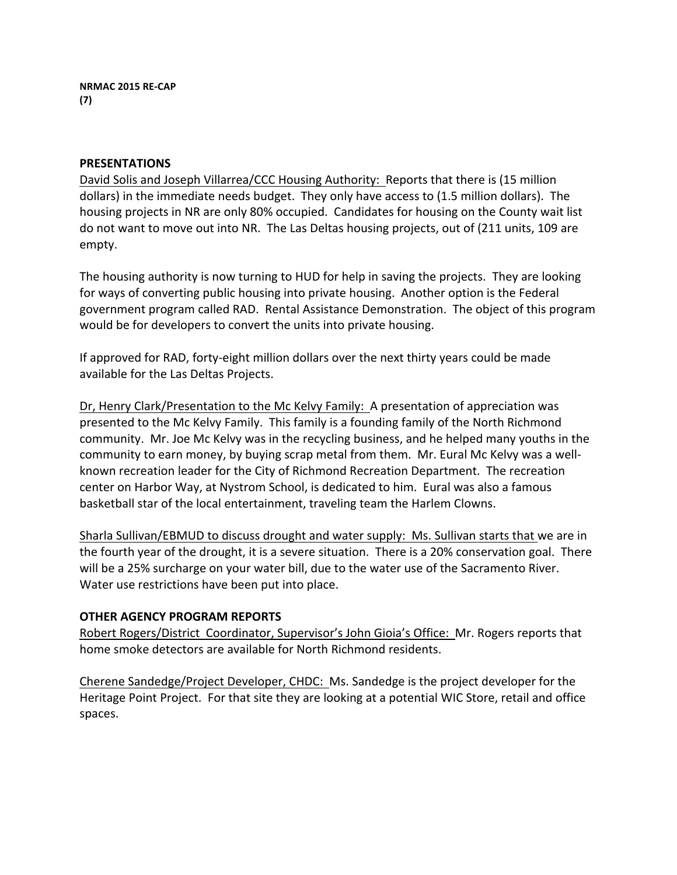## **PRESENTATIONS**

David Solis and Joseph Villarrea/CCC Housing Authority: Reports that there is (15 million dollars) in the immediate needs budget. They only have access to (1.5 million dollars). The housing projects in NR are only 80% occupied. Candidates for housing on the County wait list do not want to move out into NR. The Las Deltas housing projects, out of (211 units, 109 are empty.

The housing authority is now turning to HUD for help in saving the projects. They are looking for ways of converting public housing into private housing. Another option is the Federal government program called RAD. Rental Assistance Demonstration. The object of this program would be for developers to convert the units into private housing.

If approved for RAD, forty-eight million dollars over the next thirty years could be made available for the Las Deltas Projects.

Dr, Henry Clark/Presentation to the Mc Kelvy Family: A presentation of appreciation was presented to the Mc Kelvy Family. This family is a founding family of the North Richmond community. Mr. Joe Mc Kelvy was in the recycling business, and he helped many youths in the community to earn money, by buying scrap metal from them. Mr. Eural Mc Kelvy was a wellknown recreation leader for the City of Richmond Recreation Department. The recreation center on Harbor Way, at Nystrom School, is dedicated to him. Eural was also a famous basketball star of the local entertainment, traveling team the Harlem Clowns.

Sharla Sullivan/EBMUD to discuss drought and water supply: Ms. Sullivan starts that we are in the fourth year of the drought, it is a severe situation. There is a 20% conservation goal. There will be a 25% surcharge on your water bill, due to the water use of the Sacramento River. Water use restrictions have been put into place.

## **OTHER AGENCY PROGRAM REPORTS**

Robert Rogers/District Coordinator, Supervisor's John Gioia's Office: Mr. Rogers reports that home smoke detectors are available for North Richmond residents.

Cherene Sandedge/Project Developer, CHDC: Ms. Sandedge is the project developer for the Heritage Point Project. For that site they are looking at a potential WIC Store, retail and office spaces.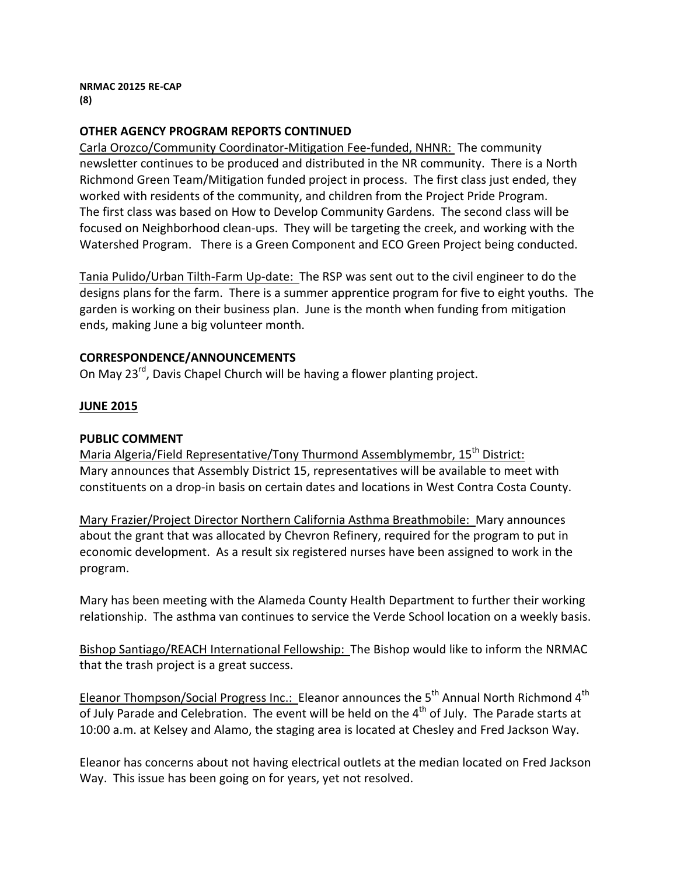#### **NRMAC 20125 RE-CAP (8)**

## **OTHER AGENCY PROGRAM REPORTS CONTINUED**

Carla Orozco/Community Coordinator-Mitigation Fee-funded, NHNR: The community newsletter continues to be produced and distributed in the NR community. There is a North Richmond Green Team/Mitigation funded project in process. The first class just ended, they worked with residents of the community, and children from the Project Pride Program. The first class was based on How to Develop Community Gardens. The second class will be focused on Neighborhood clean-ups. They will be targeting the creek, and working with the Watershed Program. There is a Green Component and ECO Green Project being conducted.

Tania Pulido/Urban Tilth-Farm Up-date: The RSP was sent out to the civil engineer to do the designs plans for the farm. There is a summer apprentice program for five to eight youths. The garden is working on their business plan. June is the month when funding from mitigation ends, making June a big volunteer month.

## **CORRESPONDENCE/ANNOUNCEMENTS**

On May 23<sup>rd</sup>, Davis Chapel Church will be having a flower planting project.

## **JUNE 2015**

## **PUBLIC COMMENT**

Maria Algeria/Field Representative/Tony Thurmond Assemblymembr, 15<sup>th</sup> District: Mary announces that Assembly District 15, representatives will be available to meet with constituents on a drop-in basis on certain dates and locations in West Contra Costa County.

Mary Frazier/Project Director Northern California Asthma Breathmobile: Mary announces about the grant that was allocated by Chevron Refinery, required for the program to put in economic development. As a result six registered nurses have been assigned to work in the program. 

Mary has been meeting with the Alameda County Health Department to further their working relationship. The asthma van continues to service the Verde School location on a weekly basis.

Bishop Santiago/REACH International Fellowship: The Bishop would like to inform the NRMAC that the trash project is a great success.

Eleanor Thompson/Social Progress Inc.: Eleanor announces the  $5<sup>th</sup>$  Annual North Richmond 4<sup>th</sup> of July Parade and Celebration. The event will be held on the  $4<sup>th</sup>$  of July. The Parade starts at 10:00 a.m. at Kelsey and Alamo, the staging area is located at Chesley and Fred Jackson Way.

Eleanor has concerns about not having electrical outlets at the median located on Fred Jackson Way. This issue has been going on for years, yet not resolved.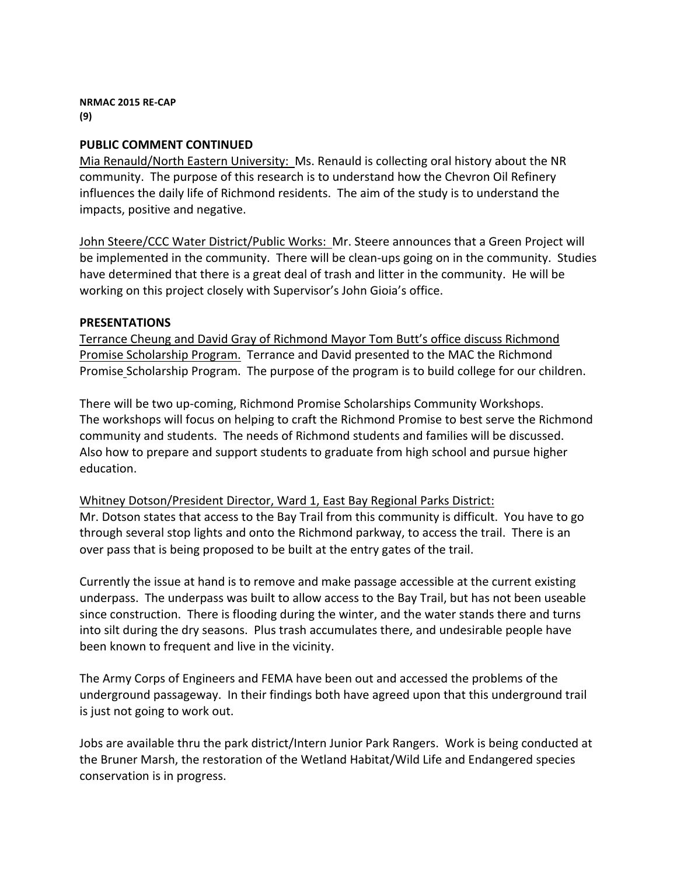**NRMAC 2015 RE-CAP (9)**

### **PUBLIC COMMENT CONTINUED**

Mia Renauld/North Eastern University: Ms. Renauld is collecting oral history about the NR community. The purpose of this research is to understand how the Chevron Oil Refinery influences the daily life of Richmond residents. The aim of the study is to understand the impacts, positive and negative.

John Steere/CCC Water District/Public Works: Mr. Steere announces that a Green Project will be implemented in the community. There will be clean-ups going on in the community. Studies have determined that there is a great deal of trash and litter in the community. He will be working on this project closely with Supervisor's John Gioia's office.

#### **PRESENTATIONS**

Terrance Cheung and David Gray of Richmond Mayor Tom Butt's office discuss Richmond Promise Scholarship Program. Terrance and David presented to the MAC the Richmond Promise Scholarship Program. The purpose of the program is to build college for our children.

There will be two up-coming, Richmond Promise Scholarships Community Workshops. The workshops will focus on helping to craft the Richmond Promise to best serve the Richmond community and students. The needs of Richmond students and families will be discussed. Also how to prepare and support students to graduate from high school and pursue higher education.

Whitney Dotson/President Director, Ward 1, East Bay Regional Parks District: Mr. Dotson states that access to the Bay Trail from this community is difficult. You have to go through several stop lights and onto the Richmond parkway, to access the trail. There is an over pass that is being proposed to be built at the entry gates of the trail.

Currently the issue at hand is to remove and make passage accessible at the current existing underpass. The underpass was built to allow access to the Bay Trail, but has not been useable since construction. There is flooding during the winter, and the water stands there and turns into silt during the dry seasons. Plus trash accumulates there, and undesirable people have been known to frequent and live in the vicinity.

The Army Corps of Engineers and FEMA have been out and accessed the problems of the underground passageway. In their findings both have agreed upon that this underground trail is just not going to work out.

Jobs are available thru the park district/Intern Junior Park Rangers. Work is being conducted at the Bruner Marsh, the restoration of the Wetland Habitat/Wild Life and Endangered species conservation is in progress.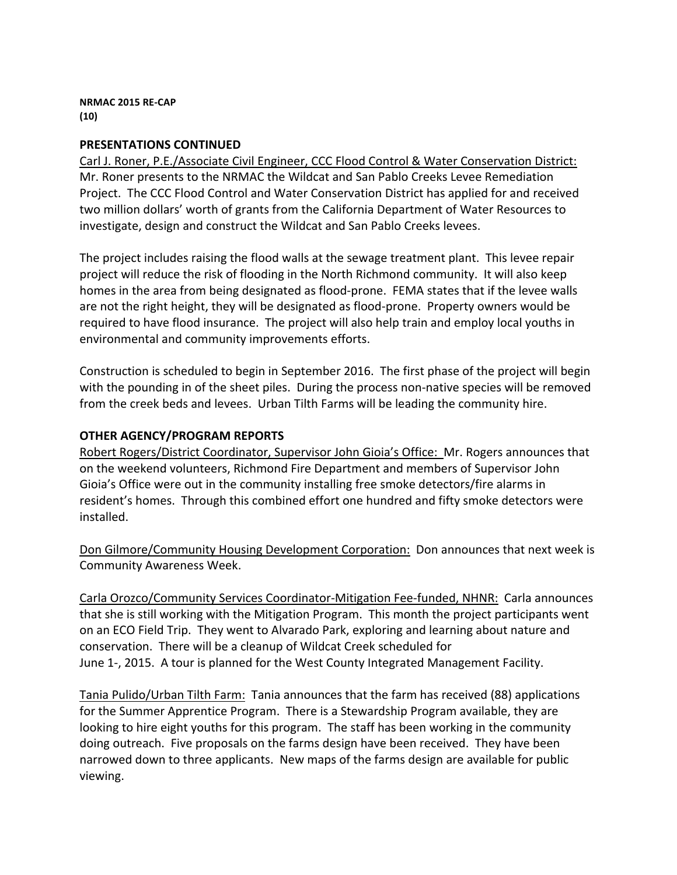**NRMAC 2015 RE-CAP (10)**

## **PRESENTATIONS CONTINUED**

Carl J. Roner, P.E./Associate Civil Engineer, CCC Flood Control & Water Conservation District: Mr. Roner presents to the NRMAC the Wildcat and San Pablo Creeks Levee Remediation Project. The CCC Flood Control and Water Conservation District has applied for and received two million dollars' worth of grants from the California Department of Water Resources to investigate, design and construct the Wildcat and San Pablo Creeks levees.

The project includes raising the flood walls at the sewage treatment plant. This levee repair project will reduce the risk of flooding in the North Richmond community. It will also keep homes in the area from being designated as flood-prone. FEMA states that if the levee walls are not the right height, they will be designated as flood-prone. Property owners would be required to have flood insurance. The project will also help train and employ local youths in environmental and community improvements efforts.

Construction is scheduled to begin in September 2016. The first phase of the project will begin with the pounding in of the sheet piles. During the process non-native species will be removed from the creek beds and levees. Urban Tilth Farms will be leading the community hire.

### **OTHER AGENCY/PROGRAM REPORTS**

Robert Rogers/District Coordinator, Supervisor John Gioia's Office: Mr. Rogers announces that on the weekend volunteers, Richmond Fire Department and members of Supervisor John Gioia's Office were out in the community installing free smoke detectors/fire alarms in resident's homes. Through this combined effort one hundred and fifty smoke detectors were installed.

Don Gilmore/Community Housing Development Corporation: Don announces that next week is Community Awareness Week. 

Carla Orozco/Community Services Coordinator-Mitigation Fee-funded, NHNR: Carla announces that she is still working with the Mitigation Program. This month the project participants went on an ECO Field Trip. They went to Alvarado Park, exploring and learning about nature and conservation. There will be a cleanup of Wildcat Creek scheduled for June 1-, 2015. A tour is planned for the West County Integrated Management Facility.

Tania Pulido/Urban Tilth Farm: Tania announces that the farm has received (88) applications for the Summer Apprentice Program. There is a Stewardship Program available, they are looking to hire eight youths for this program. The staff has been working in the community doing outreach. Five proposals on the farms design have been received. They have been narrowed down to three applicants. New maps of the farms design are available for public viewing.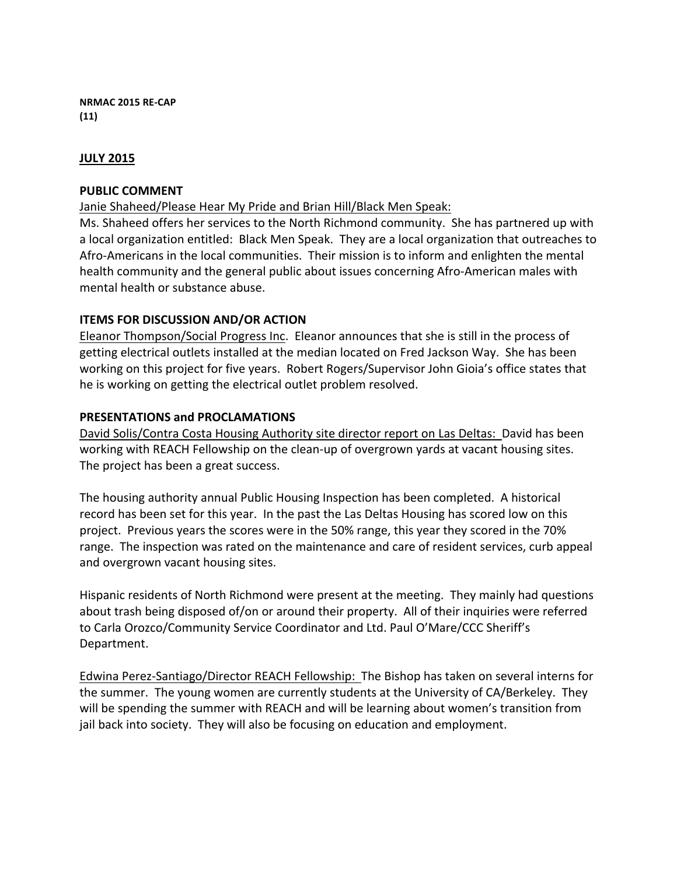**NRMAC 2015 RE-CAP (11)**

## **JULY 2015**

### **PUBLIC COMMENT**

Janie Shaheed/Please Hear My Pride and Brian Hill/Black Men Speak:

Ms. Shaheed offers her services to the North Richmond community. She has partnered up with a local organization entitled: Black Men Speak. They are a local organization that outreaches to Afro-Americans in the local communities. Their mission is to inform and enlighten the mental health community and the general public about issues concerning Afro-American males with mental health or substance abuse.

## **ITEMS FOR DISCUSSION AND/OR ACTION**

Eleanor Thompson/Social Progress Inc. Eleanor announces that she is still in the process of getting electrical outlets installed at the median located on Fred Jackson Way. She has been working on this project for five years. Robert Rogers/Supervisor John Gioia's office states that he is working on getting the electrical outlet problem resolved.

## **PRESENTATIONS and PROCLAMATIONS**

David Solis/Contra Costa Housing Authority site director report on Las Deltas: David has been working with REACH Fellowship on the clean-up of overgrown yards at vacant housing sites. The project has been a great success.

The housing authority annual Public Housing Inspection has been completed. A historical record has been set for this year. In the past the Las Deltas Housing has scored low on this project. Previous years the scores were in the 50% range, this year they scored in the 70% range. The inspection was rated on the maintenance and care of resident services, curb appeal and overgrown vacant housing sites.

Hispanic residents of North Richmond were present at the meeting. They mainly had questions about trash being disposed of/on or around their property. All of their inquiries were referred to Carla Orozco/Community Service Coordinator and Ltd. Paul O'Mare/CCC Sheriff's Department.

Edwina Perez-Santiago/Director REACH Fellowship: The Bishop has taken on several interns for the summer. The young women are currently students at the University of CA/Berkeley. They will be spending the summer with REACH and will be learning about women's transition from jail back into society. They will also be focusing on education and employment.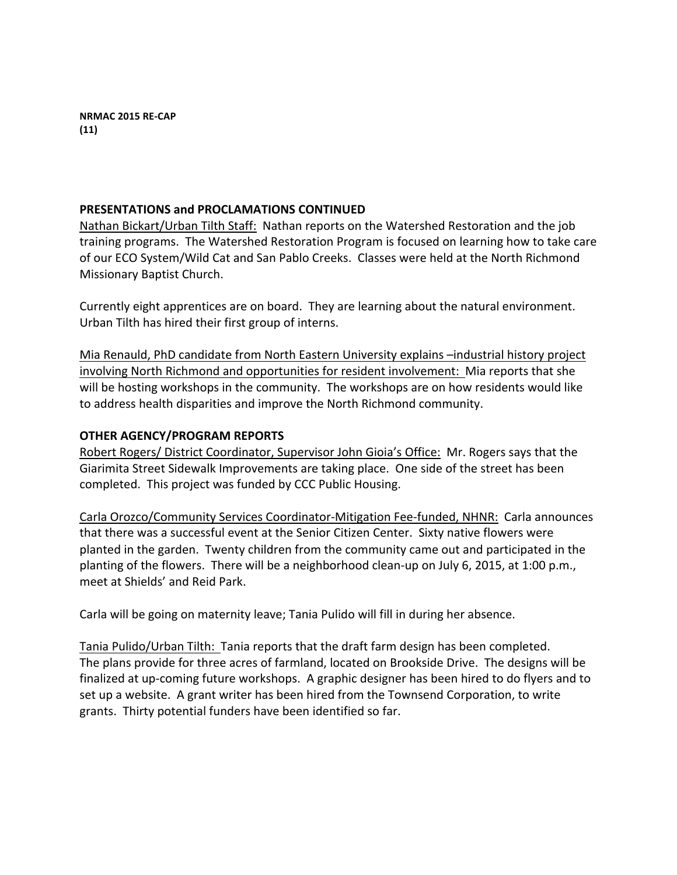### **PRESENTATIONS and PROCLAMATIONS CONTINUED**

Nathan Bickart/Urban Tilth Staff: Nathan reports on the Watershed Restoration and the job training programs. The Watershed Restoration Program is focused on learning how to take care of our ECO System/Wild Cat and San Pablo Creeks. Classes were held at the North Richmond Missionary Baptist Church.

Currently eight apprentices are on board. They are learning about the natural environment. Urban Tilth has hired their first group of interns.

Mia Renauld, PhD candidate from North Eastern University explains  $-$ industrial history project involving North Richmond and opportunities for resident involvement: Mia reports that she will be hosting workshops in the community. The workshops are on how residents would like to address health disparities and improve the North Richmond community.

### **OTHER AGENCY/PROGRAM REPORTS**

Robert Rogers/ District Coordinator, Supervisor John Gioia's Office: Mr. Rogers says that the Giarimita Street Sidewalk Improvements are taking place. One side of the street has been completed. This project was funded by CCC Public Housing.

Carla Orozco/Community Services Coordinator-Mitigation Fee-funded, NHNR: Carla announces that there was a successful event at the Senior Citizen Center. Sixty native flowers were planted in the garden. Twenty children from the community came out and participated in the planting of the flowers. There will be a neighborhood clean-up on July 6, 2015, at 1:00 p.m., meet at Shields' and Reid Park.

Carla will be going on maternity leave; Tania Pulido will fill in during her absence.

Tania Pulido/Urban Tilth: Tania reports that the draft farm design has been completed. The plans provide for three acres of farmland, located on Brookside Drive. The designs will be finalized at up-coming future workshops. A graphic designer has been hired to do flyers and to set up a website. A grant writer has been hired from the Townsend Corporation, to write grants. Thirty potential funders have been identified so far.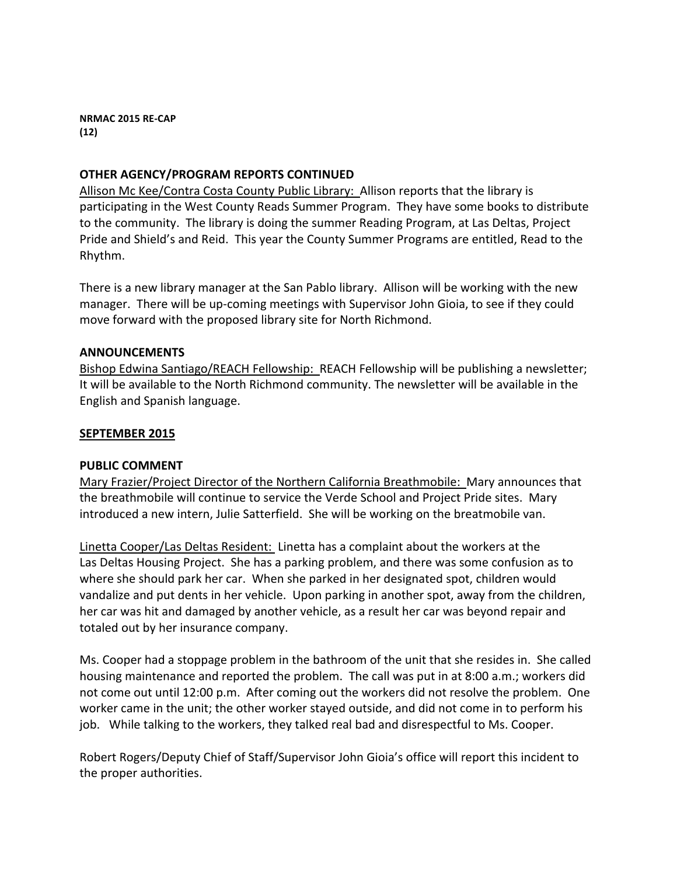**NRMAC 2015 RE-CAP (12)**

### **OTHER AGENCY/PROGRAM REPORTS CONTINUED**

Allison Mc Kee/Contra Costa County Public Library: Allison reports that the library is participating in the West County Reads Summer Program. They have some books to distribute to the community. The library is doing the summer Reading Program, at Las Deltas, Project Pride and Shield's and Reid. This year the County Summer Programs are entitled, Read to the Rhythm.

There is a new library manager at the San Pablo library. Allison will be working with the new manager. There will be up-coming meetings with Supervisor John Gioia, to see if they could move forward with the proposed library site for North Richmond.

### **ANNOUNCEMENTS**

Bishop Edwina Santiago/REACH Fellowship: REACH Fellowship will be publishing a newsletter; It will be available to the North Richmond community. The newsletter will be available in the English and Spanish language.

### **SEPTEMBER 2015**

#### **PUBLIC COMMENT**

Mary Frazier/Project Director of the Northern California Breathmobile: Mary announces that the breathmobile will continue to service the Verde School and Project Pride sites. Mary introduced a new intern, Julie Satterfield. She will be working on the breatmobile van.

Linetta Cooper/Las Deltas Resident: Linetta has a complaint about the workers at the Las Deltas Housing Project. She has a parking problem, and there was some confusion as to where she should park her car. When she parked in her designated spot, children would vandalize and put dents in her vehicle. Upon parking in another spot, away from the children, her car was hit and damaged by another vehicle, as a result her car was beyond repair and totaled out by her insurance company.

Ms. Cooper had a stoppage problem in the bathroom of the unit that she resides in. She called housing maintenance and reported the problem. The call was put in at 8:00 a.m.; workers did not come out until 12:00 p.m. After coming out the workers did not resolve the problem. One worker came in the unit; the other worker stayed outside, and did not come in to perform his job. While talking to the workers, they talked real bad and disrespectful to Ms. Cooper.

Robert Rogers/Deputy Chief of Staff/Supervisor John Gioia's office will report this incident to the proper authorities.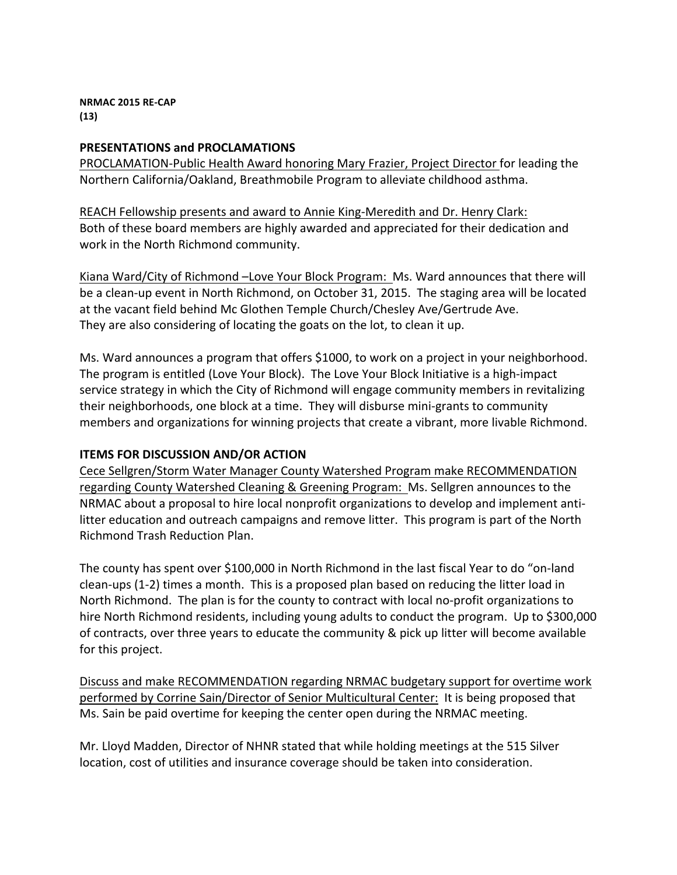**NRMAC 2015 RE-CAP (13)**

## **PRESENTATIONS and PROCLAMATIONS**

PROCLAMATION-Public Health Award honoring Mary Frazier, Project Director for leading the Northern California/Oakland, Breathmobile Program to alleviate childhood asthma.

REACH Fellowship presents and award to Annie King-Meredith and Dr. Henry Clark: Both of these board members are highly awarded and appreciated for their dedication and work in the North Richmond community.

Kiana Ward/City of Richmond -Love Your Block Program: Ms. Ward announces that there will be a clean-up event in North Richmond, on October 31, 2015. The staging area will be located at the vacant field behind Mc Glothen Temple Church/Chesley Ave/Gertrude Ave. They are also considering of locating the goats on the lot, to clean it up.

Ms. Ward announces a program that offers \$1000, to work on a project in your neighborhood. The program is entitled (Love Your Block). The Love Your Block Initiative is a high-impact service strategy in which the City of Richmond will engage community members in revitalizing their neighborhoods, one block at a time. They will disburse mini-grants to community members and organizations for winning projects that create a vibrant, more livable Richmond.

## **ITEMS FOR DISCUSSION AND/OR ACTION**

Cece Sellgren/Storm Water Manager County Watershed Program make RECOMMENDATION regarding County Watershed Cleaning & Greening Program: Ms. Sellgren announces to the NRMAC about a proposal to hire local nonprofit organizations to develop and implement antilitter education and outreach campaigns and remove litter. This program is part of the North Richmond Trash Reduction Plan. 

The county has spent over \$100,000 in North Richmond in the last fiscal Year to do "on-land" clean-ups (1-2) times a month. This is a proposed plan based on reducing the litter load in North Richmond. The plan is for the county to contract with local no-profit organizations to hire North Richmond residents, including young adults to conduct the program. Up to \$300,000 of contracts, over three years to educate the community & pick up litter will become available for this project.

Discuss and make RECOMMENDATION regarding NRMAC budgetary support for overtime work performed by Corrine Sain/Director of Senior Multicultural Center: It is being proposed that Ms. Sain be paid overtime for keeping the center open during the NRMAC meeting.

Mr. Lloyd Madden, Director of NHNR stated that while holding meetings at the 515 Silver location, cost of utilities and insurance coverage should be taken into consideration.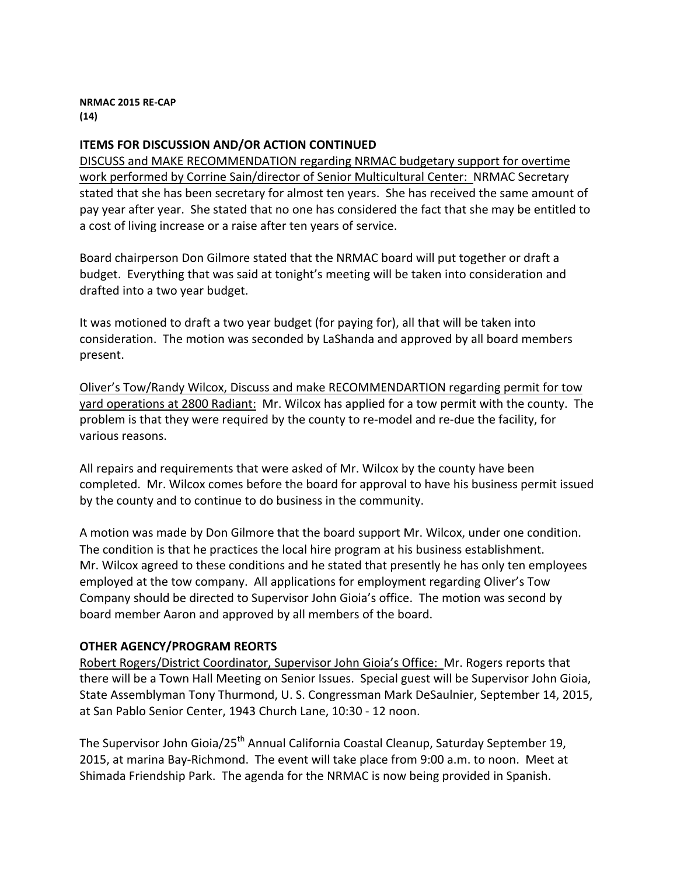**NRMAC 2015 RE-CAP (14)**

## **ITEMS FOR DISCUSSION AND/OR ACTION CONTINUED**

DISCUSS and MAKE RECOMMENDATION regarding NRMAC budgetary support for overtime work performed by Corrine Sain/director of Senior Multicultural Center: NRMAC Secretary stated that she has been secretary for almost ten years. She has received the same amount of pay year after year. She stated that no one has considered the fact that she may be entitled to a cost of living increase or a raise after ten years of service.

Board chairperson Don Gilmore stated that the NRMAC board will put together or draft a budget. Everything that was said at tonight's meeting will be taken into consideration and drafted into a two year budget.

It was motioned to draft a two year budget (for paying for), all that will be taken into consideration. The motion was seconded by LaShanda and approved by all board members present. 

Oliver's Tow/Randy Wilcox, Discuss and make RECOMMENDARTION regarding permit for tow yard operations at 2800 Radiant: Mr. Wilcox has applied for a tow permit with the county. The problem is that they were required by the county to re-model and re-due the facility, for various reasons.

All repairs and requirements that were asked of Mr. Wilcox by the county have been completed. Mr. Wilcox comes before the board for approval to have his business permit issued by the county and to continue to do business in the community.

A motion was made by Don Gilmore that the board support Mr. Wilcox, under one condition. The condition is that he practices the local hire program at his business establishment. Mr. Wilcox agreed to these conditions and he stated that presently he has only ten employees employed at the tow company. All applications for employment regarding Oliver's Tow Company should be directed to Supervisor John Gioia's office. The motion was second by board member Aaron and approved by all members of the board.

## **OTHER AGENCY/PROGRAM REORTS**

Robert Rogers/District Coordinator, Supervisor John Gioia's Office: Mr. Rogers reports that there will be a Town Hall Meeting on Senior Issues. Special guest will be Supervisor John Gioia, State Assemblyman Tony Thurmond, U. S. Congressman Mark DeSaulnier, September 14, 2015, at San Pablo Senior Center, 1943 Church Lane, 10:30 - 12 noon.

The Supervisor John Gioia/25<sup>th</sup> Annual California Coastal Cleanup, Saturday September 19, 2015, at marina Bay-Richmond. The event will take place from 9:00 a.m. to noon. Meet at Shimada Friendship Park. The agenda for the NRMAC is now being provided in Spanish.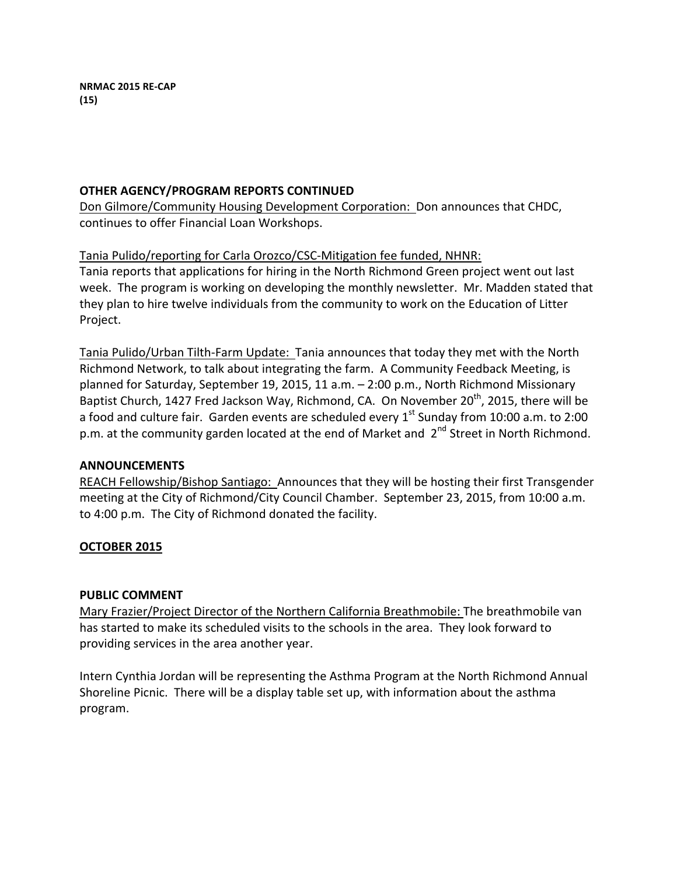## **OTHER AGENCY/PROGRAM REPORTS CONTINUED**

Don Gilmore/Community Housing Development Corporation: Don announces that CHDC, continues to offer Financial Loan Workshops.

## Tania Pulido/reporting for Carla Orozco/CSC-Mitigation fee funded, NHNR:

Tania reports that applications for hiring in the North Richmond Green project went out last week. The program is working on developing the monthly newsletter. Mr. Madden stated that they plan to hire twelve individuals from the community to work on the Education of Litter Project.

Tania Pulido/Urban Tilth-Farm Update: Tania announces that today they met with the North Richmond Network, to talk about integrating the farm. A Community Feedback Meeting, is planned for Saturday, September 19, 2015, 11 a.m. - 2:00 p.m., North Richmond Missionary Baptist Church, 1427 Fred Jackson Way, Richmond, CA. On November  $20^{th}$ , 2015, there will be a food and culture fair. Garden events are scheduled every  $1^{st}$  Sunday from 10:00 a.m. to 2:00 p.m. at the community garden located at the end of Market and  $2^{nd}$  Street in North Richmond.

## **ANNOUNCEMENTS**

REACH Fellowship/Bishop Santiago: Announces that they will be hosting their first Transgender meeting at the City of Richmond/City Council Chamber. September 23, 2015, from 10:00 a.m. to 4:00 p.m. The City of Richmond donated the facility.

# **OCTOBER 2015**

## **PUBLIC COMMENT**

Mary Frazier/Project Director of the Northern California Breathmobile: The breathmobile van has started to make its scheduled visits to the schools in the area. They look forward to providing services in the area another year.

Intern Cynthia Jordan will be representing the Asthma Program at the North Richmond Annual Shoreline Picnic. There will be a display table set up, with information about the asthma program.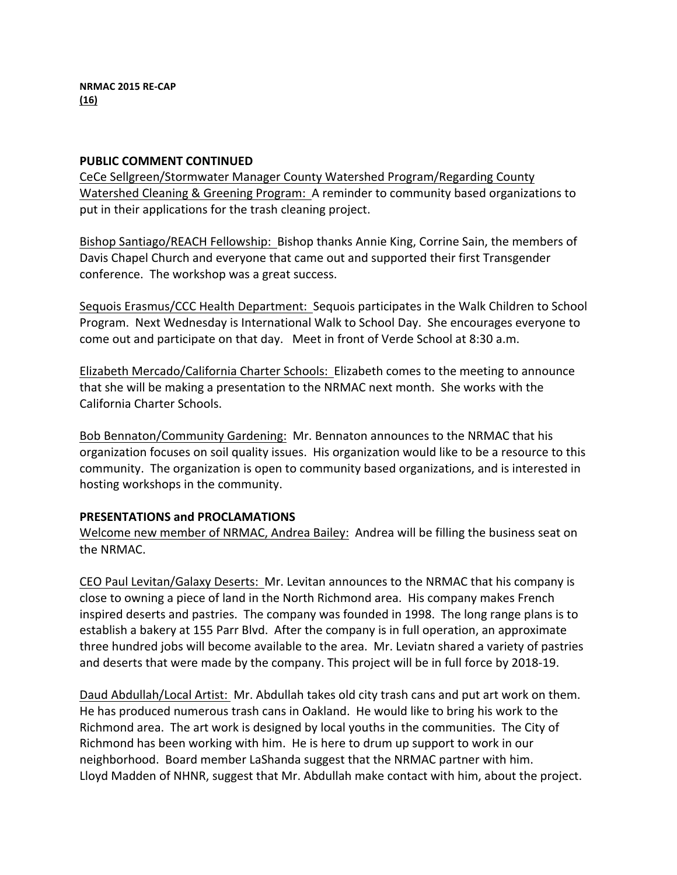### **PUBLIC COMMENT CONTINUED**

CeCe Sellgreen/Stormwater Manager County Watershed Program/Regarding County Watershed Cleaning & Greening Program: A reminder to community based organizations to put in their applications for the trash cleaning project.

Bishop Santiago/REACH Fellowship: Bishop thanks Annie King, Corrine Sain, the members of Davis Chapel Church and everyone that came out and supported their first Transgender conference. The workshop was a great success.

Sequois Erasmus/CCC Health Department: Sequois participates in the Walk Children to School Program. Next Wednesday is International Walk to School Day. She encourages everyone to come out and participate on that day. Meet in front of Verde School at 8:30 a.m.

Elizabeth Mercado/California Charter Schools: Elizabeth comes to the meeting to announce that she will be making a presentation to the NRMAC next month. She works with the California Charter Schools.

Bob Bennaton/Community Gardening: Mr. Bennaton announces to the NRMAC that his organization focuses on soil quality issues. His organization would like to be a resource to this community. The organization is open to community based organizations, and is interested in hosting workshops in the community.

## **PRESENTATIONS and PROCLAMATIONS**

Welcome new member of NRMAC, Andrea Bailey: Andrea will be filling the business seat on the NRMAC.

CEO Paul Levitan/Galaxy Deserts: Mr. Levitan announces to the NRMAC that his company is close to owning a piece of land in the North Richmond area. His company makes French inspired deserts and pastries. The company was founded in 1998. The long range plans is to establish a bakery at 155 Parr Blvd. After the company is in full operation, an approximate three hundred jobs will become available to the area. Mr. Leviatn shared a variety of pastries and deserts that were made by the company. This project will be in full force by 2018-19.

Daud Abdullah/Local Artist: Mr. Abdullah takes old city trash cans and put art work on them. He has produced numerous trash cans in Oakland. He would like to bring his work to the Richmond area. The art work is designed by local youths in the communities. The City of Richmond has been working with him. He is here to drum up support to work in our neighborhood. Board member LaShanda suggest that the NRMAC partner with him. Lloyd Madden of NHNR, suggest that Mr. Abdullah make contact with him, about the project.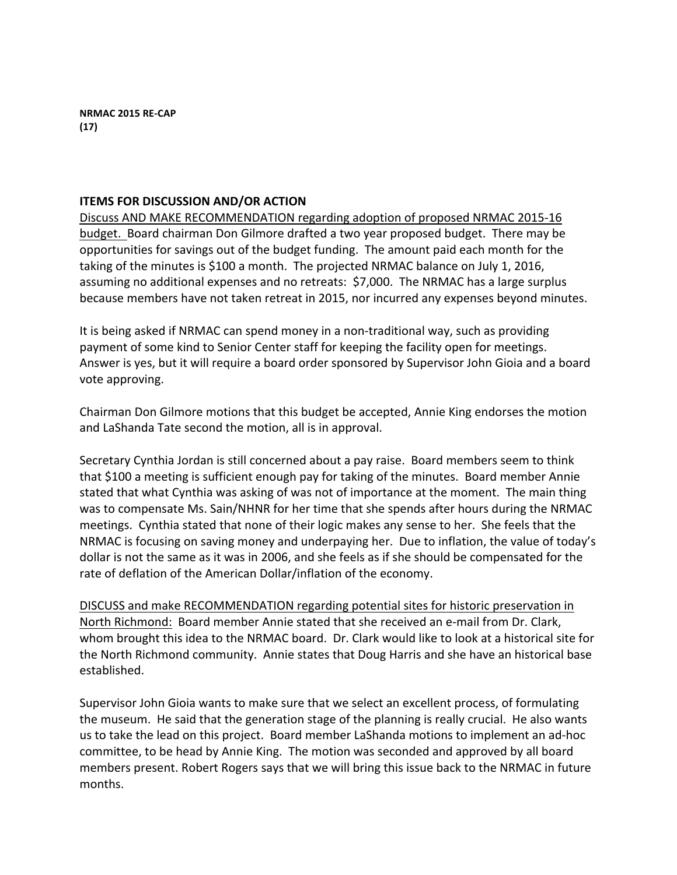### **ITEMS FOR DISCUSSION AND/OR ACTION**

Discuss AND MAKE RECOMMENDATION regarding adoption of proposed NRMAC 2015-16 budget. Board chairman Don Gilmore drafted a two year proposed budget. There may be opportunities for savings out of the budget funding. The amount paid each month for the taking of the minutes is \$100 a month. The projected NRMAC balance on July 1, 2016, assuming no additional expenses and no retreats: \$7,000. The NRMAC has a large surplus because members have not taken retreat in 2015, nor incurred any expenses beyond minutes.

It is being asked if NRMAC can spend money in a non-traditional way, such as providing payment of some kind to Senior Center staff for keeping the facility open for meetings. Answer is yes, but it will require a board order sponsored by Supervisor John Gioia and a board vote approving.

Chairman Don Gilmore motions that this budget be accepted, Annie King endorses the motion and LaShanda Tate second the motion, all is in approval.

Secretary Cynthia Jordan is still concerned about a pay raise. Board members seem to think that \$100 a meeting is sufficient enough pay for taking of the minutes. Board member Annie stated that what Cynthia was asking of was not of importance at the moment. The main thing was to compensate Ms. Sain/NHNR for her time that she spends after hours during the NRMAC meetings. Cynthia stated that none of their logic makes any sense to her. She feels that the NRMAC is focusing on saving money and underpaying her. Due to inflation, the value of today's dollar is not the same as it was in 2006, and she feels as if she should be compensated for the rate of deflation of the American Dollar/inflation of the economy.

DISCUSS and make RECOMMENDATION regarding potential sites for historic preservation in North Richmond: Board member Annie stated that she received an e-mail from Dr. Clark, whom brought this idea to the NRMAC board. Dr. Clark would like to look at a historical site for the North Richmond community. Annie states that Doug Harris and she have an historical base established. 

Supervisor John Gioia wants to make sure that we select an excellent process, of formulating the museum. He said that the generation stage of the planning is really crucial. He also wants us to take the lead on this project. Board member LaShanda motions to implement an ad-hoc committee, to be head by Annie King. The motion was seconded and approved by all board members present. Robert Rogers says that we will bring this issue back to the NRMAC in future months.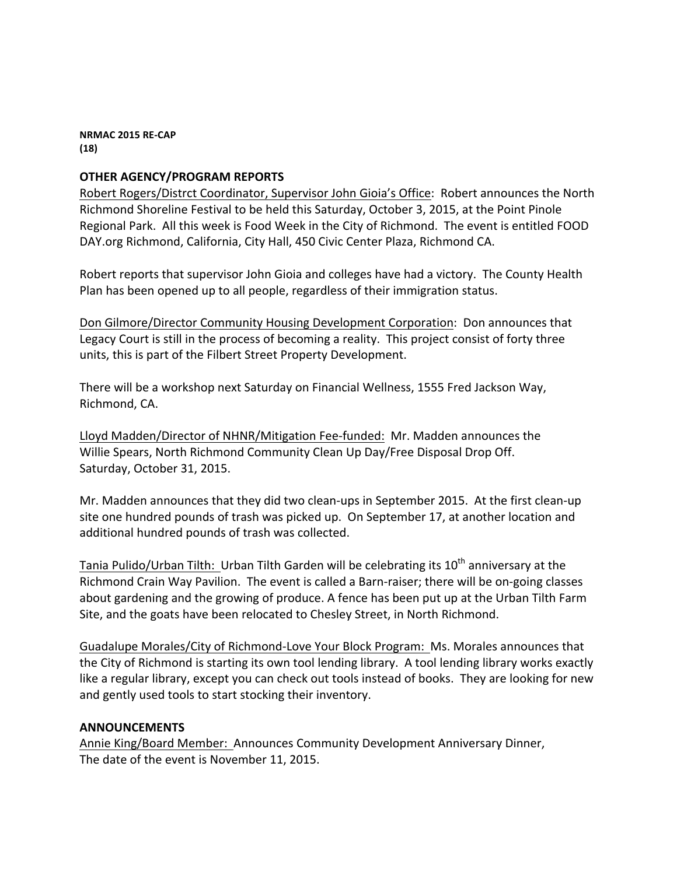**NRMAC 2015 RE-CAP (18)**

## **OTHER AGENCY/PROGRAM REPORTS**

Robert Rogers/Distrct Coordinator, Supervisor John Gioia's Office: Robert announces the North Richmond Shoreline Festival to be held this Saturday, October 3, 2015, at the Point Pinole Regional Park. All this week is Food Week in the City of Richmond. The event is entitled FOOD DAY.org Richmond, California, City Hall, 450 Civic Center Plaza, Richmond CA.

Robert reports that supervisor John Gioia and colleges have had a victory. The County Health Plan has been opened up to all people, regardless of their immigration status.

Don Gilmore/Director Community Housing Development Corporation: Don announces that Legacy Court is still in the process of becoming a reality. This project consist of forty three units, this is part of the Filbert Street Property Development.

There will be a workshop next Saturday on Financial Wellness, 1555 Fred Jackson Way, Richmond, CA.

Lloyd Madden/Director of NHNR/Mitigation Fee-funded: Mr. Madden announces the Willie Spears, North Richmond Community Clean Up Day/Free Disposal Drop Off. Saturday, October 31, 2015.

Mr. Madden announces that they did two clean-ups in September 2015. At the first clean-up site one hundred pounds of trash was picked up. On September 17, at another location and additional hundred pounds of trash was collected.

Tania Pulido/Urban Tilth: Urban Tilth Garden will be celebrating its  $10<sup>th</sup>$  anniversary at the Richmond Crain Way Pavilion. The event is called a Barn-raiser; there will be on-going classes about gardening and the growing of produce. A fence has been put up at the Urban Tilth Farm Site, and the goats have been relocated to Chesley Street, in North Richmond.

Guadalupe Morales/City of Richmond-Love Your Block Program: Ms. Morales announces that the City of Richmond is starting its own tool lending library. A tool lending library works exactly like a regular library, except you can check out tools instead of books. They are looking for new and gently used tools to start stocking their inventory.

#### **ANNOUNCEMENTS**

Annie King/Board Member: Announces Community Development Anniversary Dinner, The date of the event is November 11, 2015.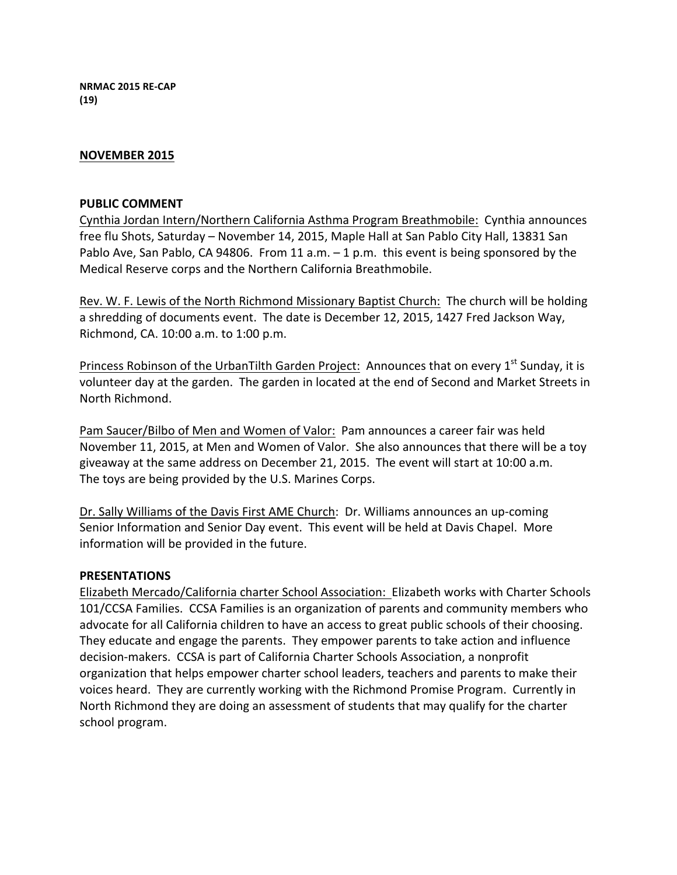**NRMAC 2015 RE-CAP (19)**

#### **NOVEMBER 2015**

#### **PUBLIC COMMENT**

Cynthia Jordan Intern/Northern California Asthma Program Breathmobile: Cynthia announces free flu Shots, Saturday - November 14, 2015, Maple Hall at San Pablo City Hall, 13831 San Pablo Ave, San Pablo, CA 94806. From 11 a.m.  $-1$  p.m. this event is being sponsored by the Medical Reserve corps and the Northern California Breathmobile.

Rev. W. F. Lewis of the North Richmond Missionary Baptist Church: The church will be holding a shredding of documents event. The date is December 12, 2015, 1427 Fred Jackson Way, Richmond, CA. 10:00 a.m. to 1:00 p.m.

Princess Robinson of the UrbanTilth Garden Project: Announces that on every  $1^{st}$  Sunday, it is volunteer day at the garden. The garden in located at the end of Second and Market Streets in North Richmond.

Pam Saucer/Bilbo of Men and Women of Valor: Pam announces a career fair was held November 11, 2015, at Men and Women of Valor. She also announces that there will be a toy giveaway at the same address on December 21, 2015. The event will start at 10:00 a.m. The toys are being provided by the U.S. Marines Corps.

Dr. Sally Williams of the Davis First AME Church: Dr. Williams announces an up-coming Senior Information and Senior Day event. This event will be held at Davis Chapel. More information will be provided in the future.

#### **PRESENTATIONS**

Elizabeth Mercado/California charter School Association: Elizabeth works with Charter Schools 101/CCSA Families. CCSA Families is an organization of parents and community members who advocate for all California children to have an access to great public schools of their choosing. They educate and engage the parents. They empower parents to take action and influence decision-makers. CCSA is part of California Charter Schools Association, a nonprofit organization that helps empower charter school leaders, teachers and parents to make their voices heard. They are currently working with the Richmond Promise Program. Currently in North Richmond they are doing an assessment of students that may qualify for the charter school program.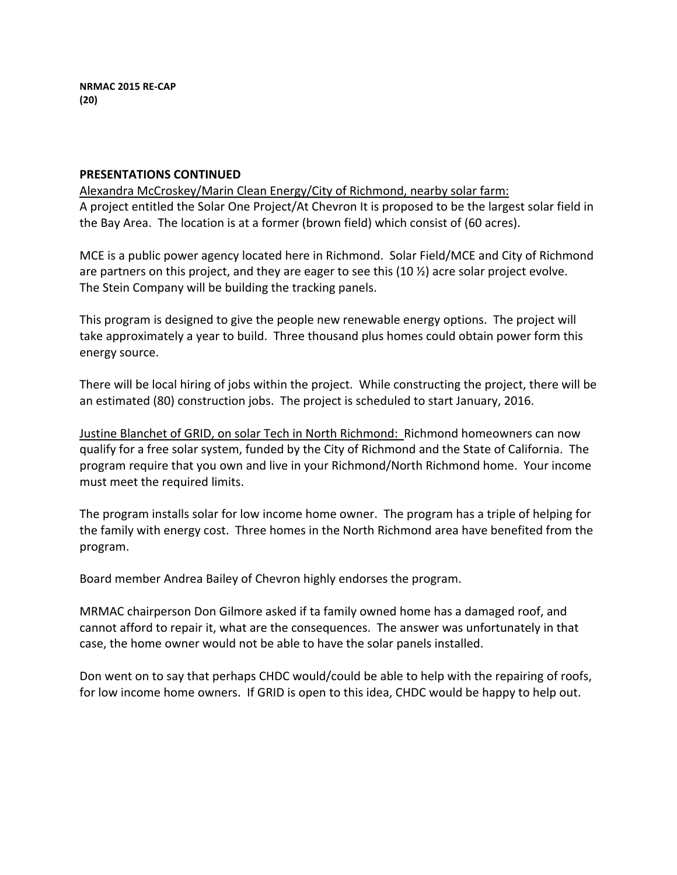#### **PRESENTATIONS CONTINUED**

Alexandra McCroskey/Marin Clean Energy/City of Richmond, nearby solar farm: A project entitled the Solar One Project/At Chevron It is proposed to be the largest solar field in the Bay Area. The location is at a former (brown field) which consist of (60 acres).

MCE is a public power agency located here in Richmond. Solar Field/MCE and City of Richmond are partners on this project, and they are eager to see this  $(10 \frac{1}{2})$  acre solar project evolve. The Stein Company will be building the tracking panels.

This program is designed to give the people new renewable energy options. The project will take approximately a year to build. Three thousand plus homes could obtain power form this energy source.

There will be local hiring of jobs within the project. While constructing the project, there will be an estimated (80) construction jobs. The project is scheduled to start January, 2016.

Justine Blanchet of GRID, on solar Tech in North Richmond: Richmond homeowners can now qualify for a free solar system, funded by the City of Richmond and the State of California. The program require that you own and live in your Richmond/North Richmond home. Your income must meet the required limits.

The program installs solar for low income home owner. The program has a triple of helping for the family with energy cost. Three homes in the North Richmond area have benefited from the program.

Board member Andrea Bailey of Chevron highly endorses the program.

MRMAC chairperson Don Gilmore asked if ta family owned home has a damaged roof, and cannot afford to repair it, what are the consequences. The answer was unfortunately in that case, the home owner would not be able to have the solar panels installed.

Don went on to say that perhaps CHDC would/could be able to help with the repairing of roofs, for low income home owners. If GRID is open to this idea, CHDC would be happy to help out.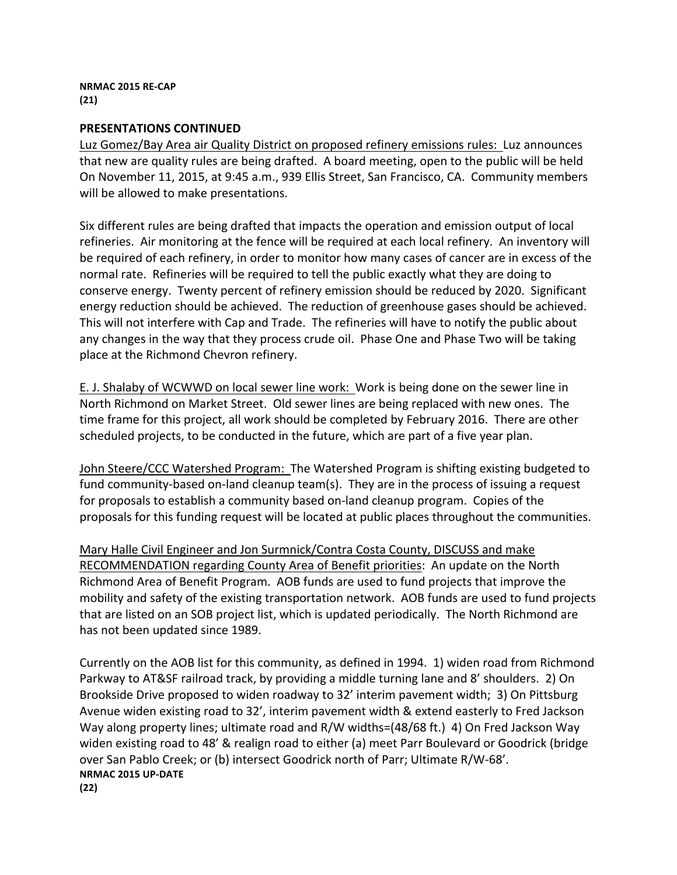### **PRESENTATIONS CONTINUED**

Luz Gomez/Bay Area air Quality District on proposed refinery emissions rules: Luz announces that new are quality rules are being drafted. A board meeting, open to the public will be held On November 11, 2015, at 9:45 a.m., 939 Ellis Street, San Francisco, CA. Community members will be allowed to make presentations.

Six different rules are being drafted that impacts the operation and emission output of local refineries. Air monitoring at the fence will be required at each local refinery. An inventory will be required of each refinery, in order to monitor how many cases of cancer are in excess of the normal rate. Refineries will be required to tell the public exactly what they are doing to conserve energy. Twenty percent of refinery emission should be reduced by 2020. Significant energy reduction should be achieved. The reduction of greenhouse gases should be achieved. This will not interfere with Cap and Trade. The refineries will have to notify the public about any changes in the way that they process crude oil. Phase One and Phase Two will be taking place at the Richmond Chevron refinery.

E. J. Shalaby of WCWWD on local sewer line work: Work is being done on the sewer line in North Richmond on Market Street. Old sewer lines are being replaced with new ones. The time frame for this project, all work should be completed by February 2016. There are other scheduled projects, to be conducted in the future, which are part of a five year plan.

John Steere/CCC Watershed Program: The Watershed Program is shifting existing budgeted to fund community-based on-land cleanup team(s). They are in the process of issuing a request for proposals to establish a community based on-land cleanup program. Copies of the proposals for this funding request will be located at public places throughout the communities.

Mary Halle Civil Engineer and Jon Surmnick/Contra Costa County, DISCUSS and make RECOMMENDATION regarding County Area of Benefit priorities: An update on the North Richmond Area of Benefit Program. AOB funds are used to fund projects that improve the mobility and safety of the existing transportation network. AOB funds are used to fund projects that are listed on an SOB project list, which is updated periodically. The North Richmond are has not been updated since 1989.

Currently on the AOB list for this community, as defined in 1994. 1) widen road from Richmond Parkway to AT&SF railroad track, by providing a middle turning lane and 8' shoulders. 2) On Brookside Drive proposed to widen roadway to 32' interim pavement width; 3) On Pittsburg Avenue widen existing road to 32', interim pavement width & extend easterly to Fred Jackson Way along property lines; ultimate road and  $R/W$  widths=(48/68 ft.) 4) On Fred Jackson Way widen existing road to 48' & realign road to either (a) meet Parr Boulevard or Goodrick (bridge over San Pablo Creek; or (b) intersect Goodrick north of Parr; Ultimate R/W-68'. **NRMAC 2015 UP-DATE (22)**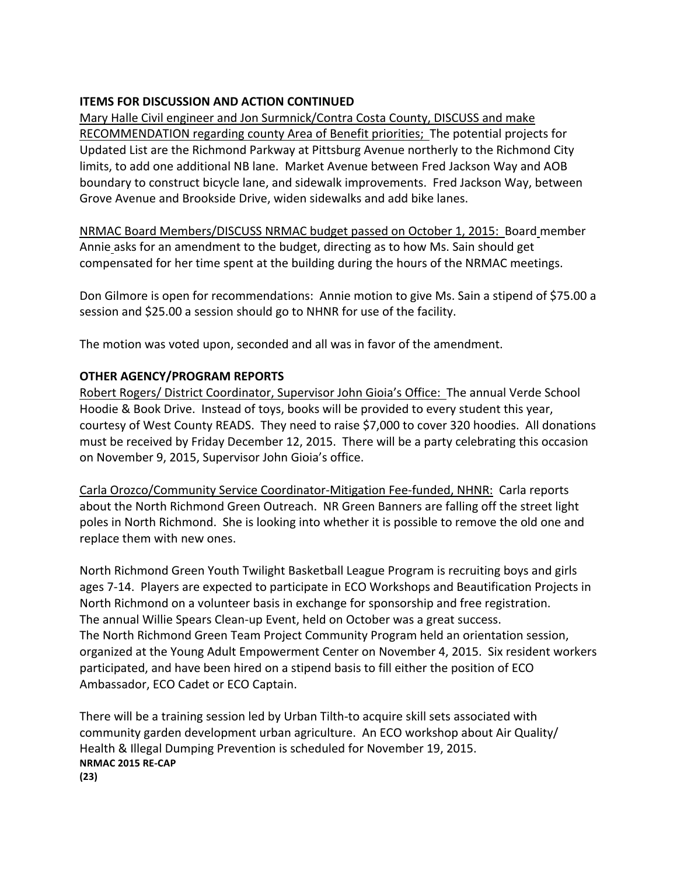## **ITEMS FOR DISCUSSION AND ACTION CONTINUED**

Mary Halle Civil engineer and Jon Surmnick/Contra Costa County, DISCUSS and make RECOMMENDATION regarding county Area of Benefit priorities; The potential projects for Updated List are the Richmond Parkway at Pittsburg Avenue northerly to the Richmond City limits, to add one additional NB lane. Market Avenue between Fred Jackson Way and AOB boundary to construct bicycle lane, and sidewalk improvements. Fred Jackson Way, between Grove Avenue and Brookside Drive, widen sidewalks and add bike lanes.

NRMAC Board Members/DISCUSS NRMAC budget passed on October 1, 2015: Board member Annie asks for an amendment to the budget, directing as to how Ms. Sain should get compensated for her time spent at the building during the hours of the NRMAC meetings.

Don Gilmore is open for recommendations: Annie motion to give Ms. Sain a stipend of \$75.00 a session and \$25.00 a session should go to NHNR for use of the facility.

The motion was voted upon, seconded and all was in favor of the amendment.

# **OTHER AGENCY/PROGRAM REPORTS**

Robert Rogers/ District Coordinator, Supervisor John Gioia's Office: The annual Verde School Hoodie & Book Drive. Instead of toys, books will be provided to every student this year, courtesy of West County READS. They need to raise \$7,000 to cover 320 hoodies. All donations must be received by Friday December 12, 2015. There will be a party celebrating this occasion on November 9, 2015, Supervisor John Gioia's office.

Carla Orozco/Community Service Coordinator-Mitigation Fee-funded, NHNR: Carla reports about the North Richmond Green Outreach. NR Green Banners are falling off the street light poles in North Richmond. She is looking into whether it is possible to remove the old one and replace them with new ones.

North Richmond Green Youth Twilight Basketball League Program is recruiting boys and girls ages 7-14. Players are expected to participate in ECO Workshops and Beautification Projects in North Richmond on a volunteer basis in exchange for sponsorship and free registration. The annual Willie Spears Clean-up Event, held on October was a great success. The North Richmond Green Team Project Community Program held an orientation session, organized at the Young Adult Empowerment Center on November 4, 2015. Six resident workers participated, and have been hired on a stipend basis to fill either the position of ECO Ambassador, ECO Cadet or ECO Captain.

There will be a training session led by Urban Tilth-to acquire skill sets associated with community garden development urban agriculture. An ECO workshop about Air Quality/ Health & Illegal Dumping Prevention is scheduled for November 19, 2015. **NRMAC 2015 RE-CAP (23)**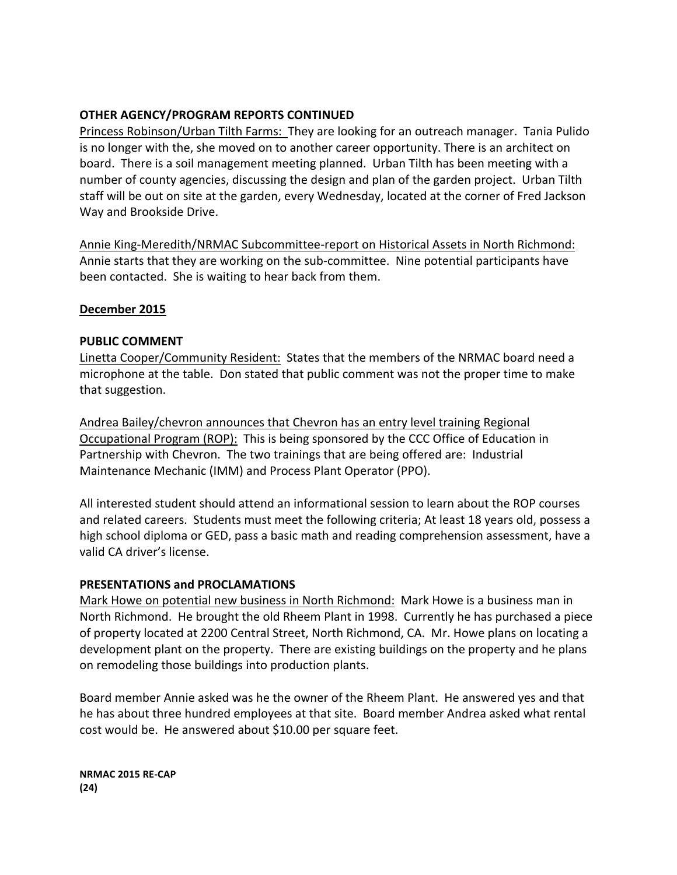## **OTHER AGENCY/PROGRAM REPORTS CONTINUED**

Princess Robinson/Urban Tilth Farms: They are looking for an outreach manager. Tania Pulido is no longer with the, she moved on to another career opportunity. There is an architect on board. There is a soil management meeting planned. Urban Tilth has been meeting with a number of county agencies, discussing the design and plan of the garden project. Urban Tilth staff will be out on site at the garden, every Wednesday, located at the corner of Fred Jackson Way and Brookside Drive.

Annie King-Meredith/NRMAC Subcommittee-report on Historical Assets in North Richmond: Annie starts that they are working on the sub-committee. Nine potential participants have been contacted. She is waiting to hear back from them.

## **December 2015**

## **PUBLIC COMMENT**

Linetta Cooper/Community Resident: States that the members of the NRMAC board need a microphone at the table. Don stated that public comment was not the proper time to make that suggestion.

Andrea Bailey/chevron announces that Chevron has an entry level training Regional Occupational Program (ROP): This is being sponsored by the CCC Office of Education in Partnership with Chevron. The two trainings that are being offered are: Industrial Maintenance Mechanic (IMM) and Process Plant Operator (PPO).

All interested student should attend an informational session to learn about the ROP courses and related careers. Students must meet the following criteria; At least 18 years old, possess a high school diploma or GED, pass a basic math and reading comprehension assessment, have a valid CA driver's license.

## **PRESENTATIONS and PROCLAMATIONS**

Mark Howe on potential new business in North Richmond: Mark Howe is a business man in North Richmond. He brought the old Rheem Plant in 1998. Currently he has purchased a piece of property located at 2200 Central Street, North Richmond, CA. Mr. Howe plans on locating a development plant on the property. There are existing buildings on the property and he plans on remodeling those buildings into production plants.

Board member Annie asked was he the owner of the Rheem Plant. He answered yes and that he has about three hundred employees at that site. Board member Andrea asked what rental cost would be. He answered about \$10.00 per square feet.

**NRMAC 2015 RE-CAP (24)**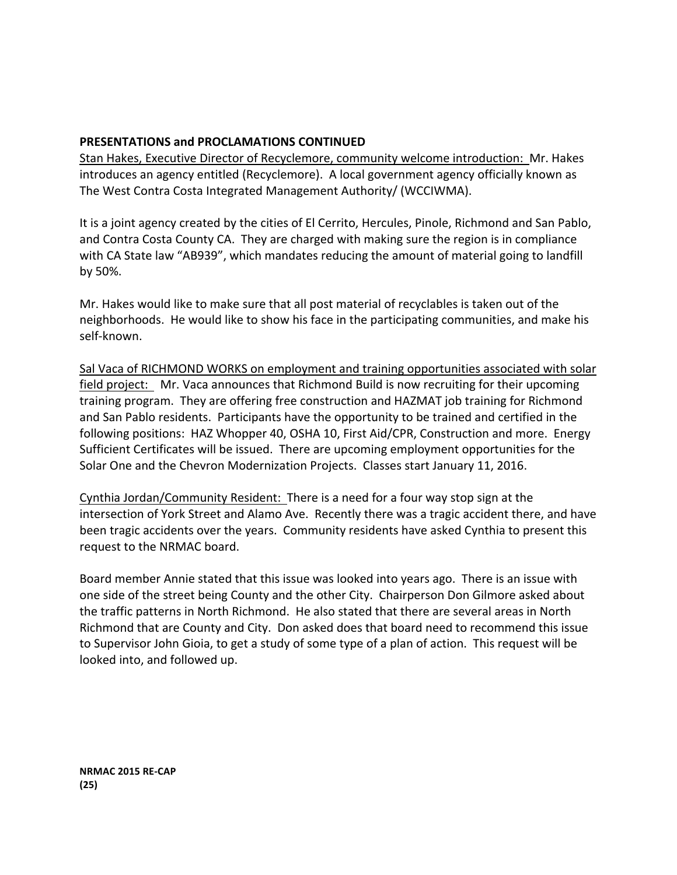# **PRESENTATIONS and PROCLAMATIONS CONTINUED**

Stan Hakes, Executive Director of Recyclemore, community welcome introduction: Mr. Hakes introduces an agency entitled (Recyclemore). A local government agency officially known as The West Contra Costa Integrated Management Authority/ (WCCIWMA).

It is a joint agency created by the cities of El Cerrito, Hercules, Pinole, Richmond and San Pablo, and Contra Costa County CA. They are charged with making sure the region is in compliance with CA State law "AB939", which mandates reducing the amount of material going to landfill by 50%.

Mr. Hakes would like to make sure that all post material of recyclables is taken out of the neighborhoods. He would like to show his face in the participating communities, and make his self-known. 

Sal Vaca of RICHMOND WORKS on employment and training opportunities associated with solar field project: Mr. Vaca announces that Richmond Build is now recruiting for their upcoming training program. They are offering free construction and HAZMAT job training for Richmond and San Pablo residents. Participants have the opportunity to be trained and certified in the following positions: HAZ Whopper 40, OSHA 10, First Aid/CPR, Construction and more. Energy Sufficient Certificates will be issued. There are upcoming employment opportunities for the Solar One and the Chevron Modernization Projects. Classes start January 11, 2016.

Cynthia Jordan/Community Resident: There is a need for a four way stop sign at the intersection of York Street and Alamo Ave. Recently there was a tragic accident there, and have been tragic accidents over the years. Community residents have asked Cynthia to present this request to the NRMAC board.

Board member Annie stated that this issue was looked into years ago. There is an issue with one side of the street being County and the other City. Chairperson Don Gilmore asked about the traffic patterns in North Richmond. He also stated that there are several areas in North Richmond that are County and City. Don asked does that board need to recommend this issue to Supervisor John Gioia, to get a study of some type of a plan of action. This request will be looked into, and followed up.

**NRMAC 2015 RE-CAP (25)**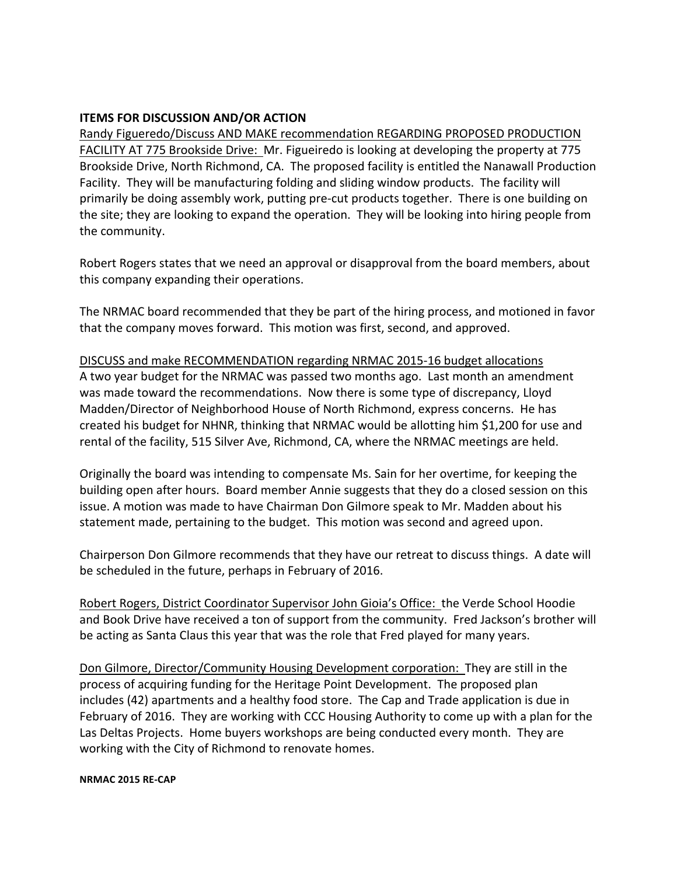## **ITEMS FOR DISCUSSION AND/OR ACTION**

Randy Figueredo/Discuss AND MAKE recommendation REGARDING PROPOSED PRODUCTION FACILITY AT 775 Brookside Drive: Mr. Figueiredo is looking at developing the property at 775 Brookside Drive, North Richmond, CA. The proposed facility is entitled the Nanawall Production Facility. They will be manufacturing folding and sliding window products. The facility will primarily be doing assembly work, putting pre-cut products together. There is one building on the site; they are looking to expand the operation. They will be looking into hiring people from the community.

Robert Rogers states that we need an approval or disapproval from the board members, about this company expanding their operations.

The NRMAC board recommended that they be part of the hiring process, and motioned in favor that the company moves forward. This motion was first, second, and approved.

## DISCUSS and make RECOMMENDATION regarding NRMAC 2015-16 budget allocations

A two year budget for the NRMAC was passed two months ago. Last month an amendment was made toward the recommendations. Now there is some type of discrepancy, Lloyd Madden/Director of Neighborhood House of North Richmond, express concerns. He has created his budget for NHNR, thinking that NRMAC would be allotting him \$1,200 for use and rental of the facility, 515 Silver Ave, Richmond, CA, where the NRMAC meetings are held.

Originally the board was intending to compensate Ms. Sain for her overtime, for keeping the building open after hours. Board member Annie suggests that they do a closed session on this issue. A motion was made to have Chairman Don Gilmore speak to Mr. Madden about his statement made, pertaining to the budget. This motion was second and agreed upon.

Chairperson Don Gilmore recommends that they have our retreat to discuss things. A date will be scheduled in the future, perhaps in February of 2016.

Robert Rogers, District Coordinator Supervisor John Gioia's Office: the Verde School Hoodie and Book Drive have received a ton of support from the community. Fred Jackson's brother will be acting as Santa Claus this year that was the role that Fred played for many years.

Don Gilmore, Director/Community Housing Development corporation: They are still in the process of acquiring funding for the Heritage Point Development. The proposed plan includes (42) apartments and a healthy food store. The Cap and Trade application is due in February of 2016. They are working with CCC Housing Authority to come up with a plan for the Las Deltas Projects. Home buyers workshops are being conducted every month. They are working with the City of Richmond to renovate homes.

#### **NRMAC 2015 RE-CAP**